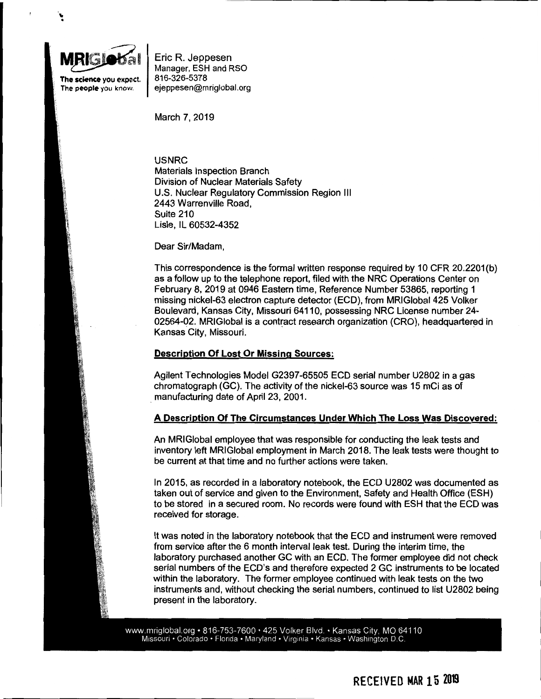

.... ..

> The **science** you expect. The **people** you know.

Eric R. Jeppesen Manager, ESH and RSO 816-326-5378 ejeppesen@mriglobal.org

March 7, 2019

**USNRC**  Materials Inspection Branch Division of Nuclear Materials Safety U.S. Nuclear Regulatory Commission Region Ill 2443 Warrenville Road, Suite 210 Lisle, IL 60532-4352

#### Dear Sir/Madam,

This correspondence is the formal written response required by 10 CFR 20.2201(b) as a follow up to the telephone report, filed with the NRC Operations Center on February 8, 2019 at 0946 Eastern time, Reference Number 53865, reporting 1 missing nickel-63 electron capture detector (ECO), from MRIGlobal 425 Volker Boulevard, Kansas City, Missouri 64110, possessing NRC License number 24- 02564-02. MRIGlobal is a contract research organization (CRO), headquartered in Kansas City, Missouri.

#### **Description Of Lost Or Missing Sources:**

Agilent Technologies Model G2397-65505 ECO serial number U2802 in a gas chromatograph (GC). The activity of the nickel-63 source was 15 mCi as of . manufacturing date of April 23, 2001.

## **A Description Of The Circumstances Under Which The Loss Was Discovered:**

An MRI Global employee that was responsible for conducting the leak tests and inventory left MRIGlobal employment in March 2018. The leak tests were thought to be current at that time and no further actions were taken.

In 2015, as recorded in a laboratory notebook, the ECO U2802 was documented as taken out of service and given to the Environment, Safety and Health Office (ESH) to be stored in a secured room. No records were found with ESH that the ECO was received for storage.

It was noted in the laboratory notebook that the ECO and instrument were removed from service after the 6 month interval leak test. During the interim time, the laboratory purchased another GC with an ECO. The former employee did not check serial numbers of the ECD's and therefore expected 2 GC instruments to be located within the laboratory. The former employee continued with leak tests on the two instruments and, without checking the serial numbers, continued to list U2802 being present in the laboratory.

www.mriglobal.org • 816-753-7600 • 425 Volker Blvd. • Kansas City, MO 64110 Missouri • Colorado • Florida • Maryland • Virginia • Kansas • Washington D.C.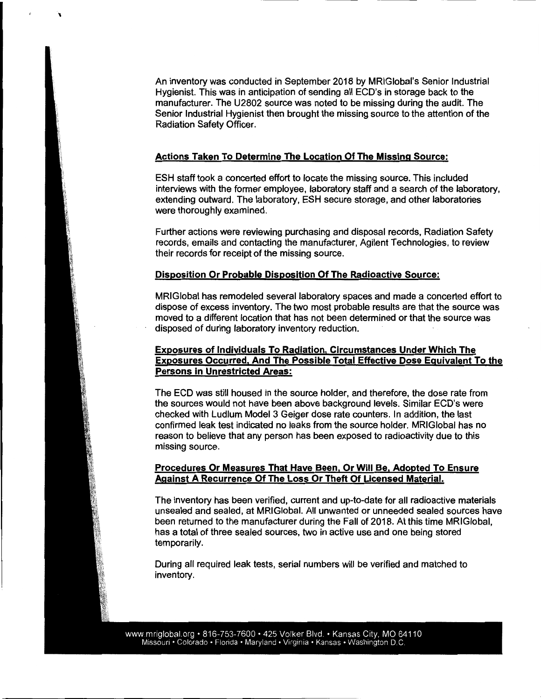An inventory was conducted in September 2018 by MRIGlobal's Senior Industrial Hygienist. This was in anticipation of sending all ECD's in storage back to the manufacturer. The U2802 source was noted to be missing during the audit. The Senior Industrial Hygienist then brought the missing source to the attention of the Radiation Safety Officer.

## **Actions Taken To Determine The Location Of The Missing Source:**

'

ESH staff took a concerted effort to locate the missing source. This included interviews with the former employee, laboratory staff and a search of the laboratory, extending outward. The laboratory, ESH secure storage, and other laboratories were thoroughly examined.

Further actions were reviewing purchasing and disposal records, Radiation Safety records, emails and contacting the manufacturer, Agilent Technologies, to review their records for receipt of the missing source.

#### **Disposition Or Probable Disposition Of The Radioactive Source:**

MRIGlobal has remodeled several laboratory spaces and made a concerted effort to dispose of excess inventory. The two most probable results are that the source was moved to a different location that has not been determined or that the source was disposed of during laboratory inventory reduction.

## **Exposures of Individuals To Radiation, Circumstances Under Which The Exposures Occurred, And The Possible Total Effective Dose Equivalent To the Persons in Unrestricted Areas:**

The ECO was still housed in the source holder, and therefore, the dose rate from the sources would not have been above background levels. Similar ECD's were checked with Ludlum Model 3 Geiger dose rate counters. In addition, the last confirmed leak test indicated no leaks from the source holder. MRIGlobal has no reason to believe that any person has been exposed to radioactivity due to this missing source.

# **Procedures Or Measures That Have Been, Or Will Be, Adopted To Ensure Against A Recurrence Of The Loss Or Theft Of Licensed Material.**

The inventory has been verified, current and up-to-date for all radioactive materials unsealed and sealed, at MRIGlobal. All unwanted or unneeded sealed sources have been returned to the manufacturer during the Fall of 2018. At this time MRIGlobal, has a total of three sealed sources, two in active use and one being stored temporarily.

During all required leak tests, serial numbers will be verified and matched to inventory.

www.mriglobal.org · 816-753-7600 · 425 Volker Blvd. · Kansas City, MO 64110 Missouri • Colorado • Florida • Maryland • Virginia • Kansas • Washington D.C.